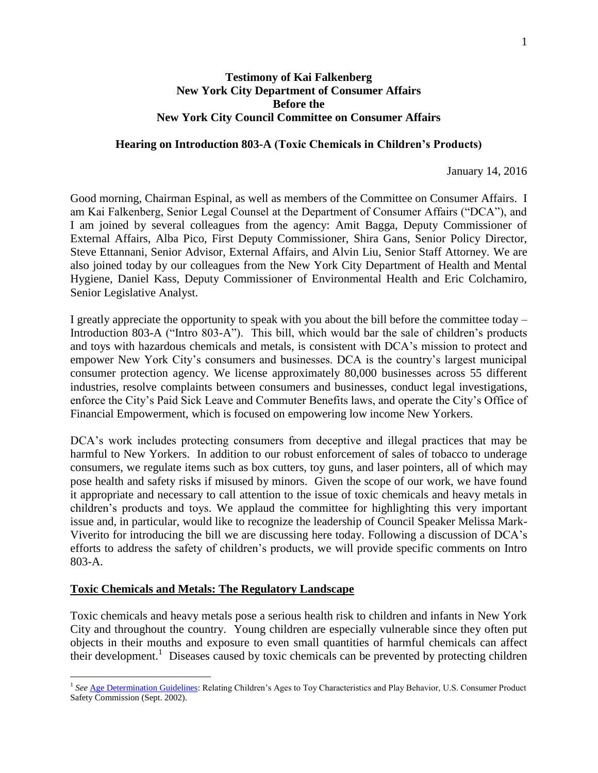## **Testimony of Kai Falkenberg New York City Department of Consumer Affairs Before the New York City Council Committee on Consumer Affairs**

#### **Hearing on Introduction 803-A (Toxic Chemicals in Children's Products)**

January 14, 2016

Good morning, Chairman Espinal, as well as members of the Committee on Consumer Affairs. I am Kai Falkenberg, Senior Legal Counsel at the Department of Consumer Affairs ("DCA"), and I am joined by several colleagues from the agency: Amit Bagga, Deputy Commissioner of External Affairs, Alba Pico, First Deputy Commissioner, Shira Gans, Senior Policy Director, Steve Ettannani, Senior Advisor, External Affairs, and Alvin Liu, Senior Staff Attorney. We are also joined today by our colleagues from the New York City Department of Health and Mental Hygiene, Daniel Kass, Deputy Commissioner of Environmental Health and Eric Colchamiro, Senior Legislative Analyst.

I greatly appreciate the opportunity to speak with you about the bill before the committee today – Introduction 803-A ("Intro 803-A"). This bill, which would bar the sale of children's products and toys with hazardous chemicals and metals, is consistent with DCA's mission to protect and empower New York City's consumers and businesses. DCA is the country's largest municipal consumer protection agency. We license approximately 80,000 businesses across 55 different industries, resolve complaints between consumers and businesses, conduct legal investigations, enforce the City's Paid Sick Leave and Commuter Benefits laws, and operate the City's Office of Financial Empowerment, which is focused on empowering low income New Yorkers.

DCA's work includes protecting consumers from deceptive and illegal practices that may be harmful to New Yorkers. In addition to our robust enforcement of sales of tobacco to underage consumers, we regulate items such as box cutters, toy guns, and laser pointers, all of which may pose health and safety risks if misused by minors. Given the scope of our work, we have found it appropriate and necessary to call attention to the issue of toxic chemicals and heavy metals in children's products and toys. We applaud the committee for highlighting this very important issue and, in particular, would like to recognize the leadership of Council Speaker Melissa Mark-Viverito for introducing the bill we are discussing here today. Following a discussion of DCA's efforts to address the safety of children's products, we will provide specific comments on Intro 803-A.

### **Toxic Chemicals and Metals: The Regulatory Landscape**

Toxic chemicals and heavy metals pose a serious health risk to children and infants in New York City and throughout the country. Young children are especially vulnerable since they often put objects in their mouths and exposure to even small quantities of harmful chemicals can affect their development. 1 Diseases caused by toxic chemicals can be prevented by protecting children

<sup>&</sup>lt;sup>1</sup> See <u>Age Determination Guidelines</u>: Relating Children's Ages to Toy Characteristics and Play Behavior, U.S. Consumer Product Safety Commission (Sept. 2002).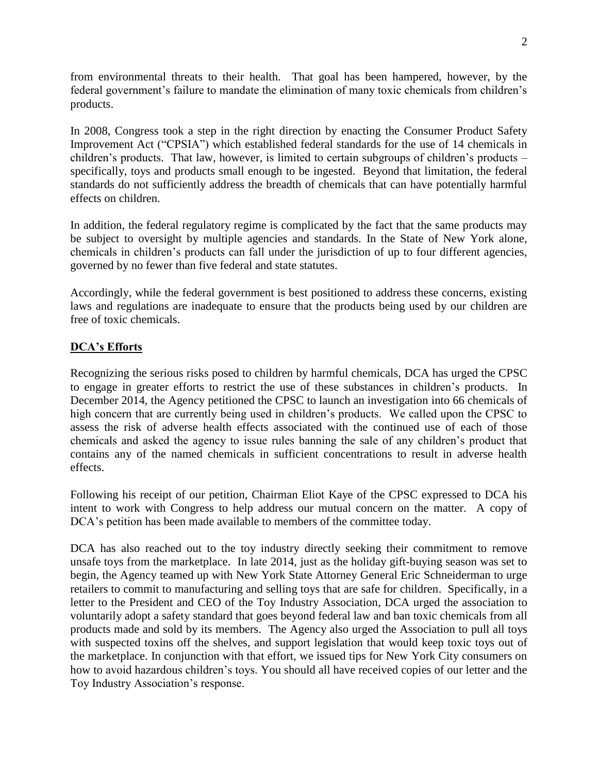from environmental threats to their health. That goal has been hampered, however, by the federal government's failure to mandate the elimination of many toxic chemicals from children's products.

In 2008, Congress took a step in the right direction by enacting the Consumer Product Safety Improvement Act ("CPSIA") which established federal standards for the use of 14 chemicals in children's products. That law, however, is limited to certain subgroups of children's products – specifically, toys and products small enough to be ingested. Beyond that limitation, the federal standards do not sufficiently address the breadth of chemicals that can have potentially harmful effects on children.

In addition, the federal regulatory regime is complicated by the fact that the same products may be subject to oversight by multiple agencies and standards. In the State of New York alone, chemicals in children's products can fall under the jurisdiction of up to four different agencies, governed by no fewer than five federal and state statutes.

Accordingly, while the federal government is best positioned to address these concerns, existing laws and regulations are inadequate to ensure that the products being used by our children are free of toxic chemicals.

# **DCA's Efforts**

Recognizing the serious risks posed to children by harmful chemicals, DCA has urged the CPSC to engage in greater efforts to restrict the use of these substances in children's products. In December 2014, the Agency petitioned the CPSC to launch an investigation into 66 chemicals of high concern that are currently being used in children's products. We called upon the CPSC to assess the risk of adverse health effects associated with the continued use of each of those chemicals and asked the agency to issue rules banning the sale of any children's product that contains any of the named chemicals in sufficient concentrations to result in adverse health effects.

Following his receipt of our petition, Chairman Eliot Kaye of the CPSC expressed to DCA his intent to work with Congress to help address our mutual concern on the matter. A copy of DCA's petition has been made available to members of the committee today.

DCA has also reached out to the toy industry directly seeking their commitment to remove unsafe toys from the marketplace. In late 2014, just as the holiday gift-buying season was set to begin, the Agency teamed up with New York State Attorney General Eric Schneiderman to urge retailers to commit to manufacturing and selling toys that are safe for children. Specifically, in a letter to the President and CEO of the Toy Industry Association, DCA urged the association to voluntarily adopt a safety standard that goes beyond federal law and ban toxic chemicals from all products made and sold by its members. The Agency also urged the Association to pull all toys with suspected toxins off the shelves, and support legislation that would keep toxic toys out of the marketplace. In conjunction with that effort, we issued tips for New York City consumers on how to avoid hazardous children's toys. You should all have received copies of our letter and the Toy Industry Association's response.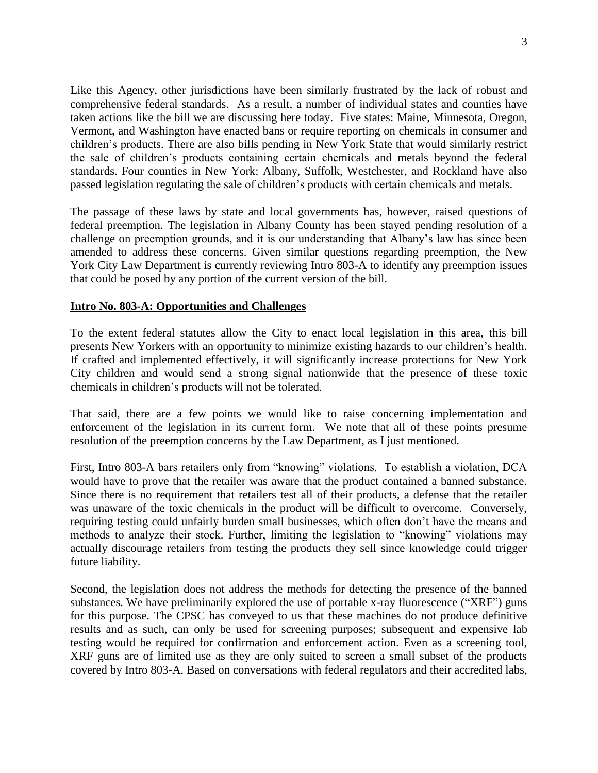Like this Agency, other jurisdictions have been similarly frustrated by the lack of robust and comprehensive federal standards. As a result, a number of individual states and counties have taken actions like the bill we are discussing here today. Five states: Maine, Minnesota, Oregon, Vermont, and Washington have enacted bans or require reporting on chemicals in consumer and children's products. There are also bills pending in New York State that would similarly restrict the sale of children's products containing certain chemicals and metals beyond the federal standards. Four counties in New York: Albany, Suffolk, Westchester, and Rockland have also passed legislation regulating the sale of children's products with certain chemicals and metals.

The passage of these laws by state and local governments has, however, raised questions of federal preemption. The legislation in Albany County has been stayed pending resolution of a challenge on preemption grounds, and it is our understanding that Albany's law has since been amended to address these concerns. Given similar questions regarding preemption, the New York City Law Department is currently reviewing Intro 803-A to identify any preemption issues that could be posed by any portion of the current version of the bill.

## **Intro No. 803-A: Opportunities and Challenges**

To the extent federal statutes allow the City to enact local legislation in this area, this bill presents New Yorkers with an opportunity to minimize existing hazards to our children's health. If crafted and implemented effectively, it will significantly increase protections for New York City children and would send a strong signal nationwide that the presence of these toxic chemicals in children's products will not be tolerated.

That said, there are a few points we would like to raise concerning implementation and enforcement of the legislation in its current form. We note that all of these points presume resolution of the preemption concerns by the Law Department, as I just mentioned.

First, Intro 803-A bars retailers only from "knowing" violations. To establish a violation, DCA would have to prove that the retailer was aware that the product contained a banned substance. Since there is no requirement that retailers test all of their products, a defense that the retailer was unaware of the toxic chemicals in the product will be difficult to overcome. Conversely, requiring testing could unfairly burden small businesses, which often don't have the means and methods to analyze their stock. Further, limiting the legislation to "knowing" violations may actually discourage retailers from testing the products they sell since knowledge could trigger future liability.

Second, the legislation does not address the methods for detecting the presence of the banned substances. We have preliminarily explored the use of portable x-ray fluorescence ("XRF") guns for this purpose. The CPSC has conveyed to us that these machines do not produce definitive results and as such, can only be used for screening purposes; subsequent and expensive lab testing would be required for confirmation and enforcement action. Even as a screening tool, XRF guns are of limited use as they are only suited to screen a small subset of the products covered by Intro 803-A. Based on conversations with federal regulators and their accredited labs,